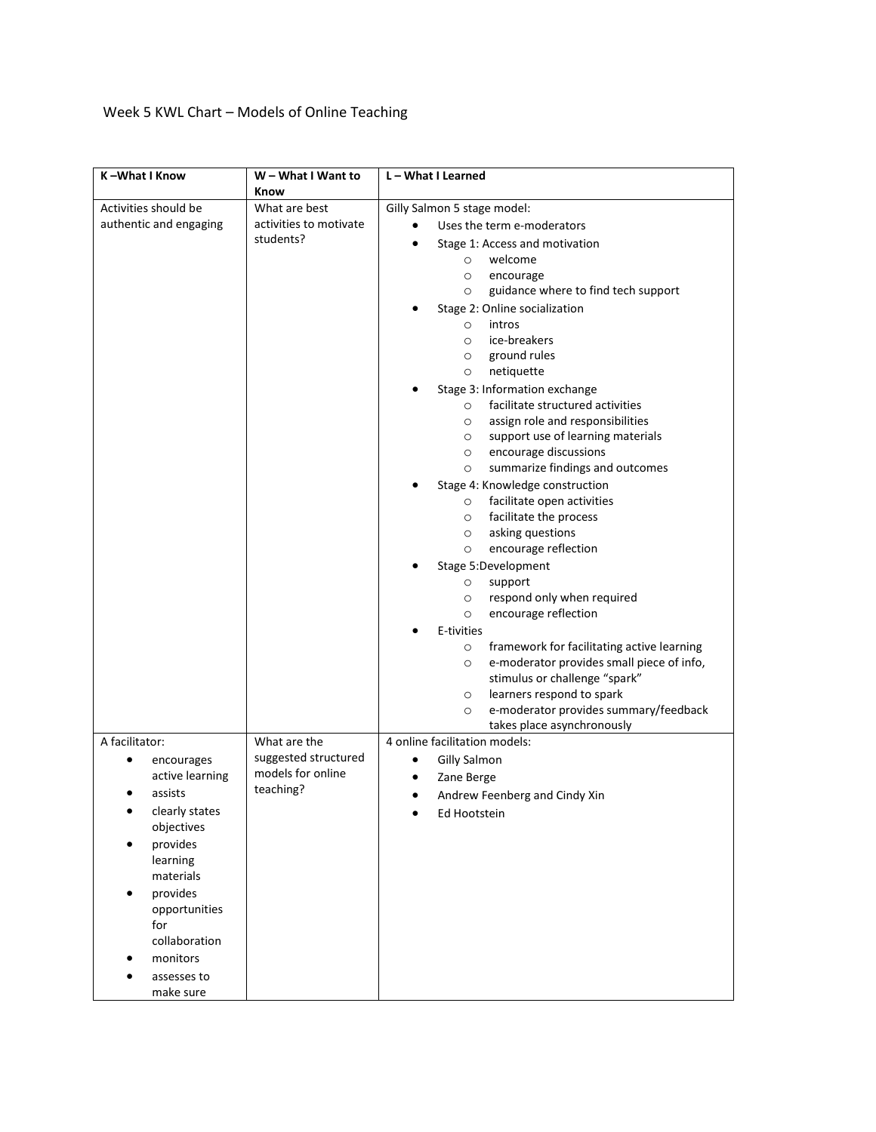## Week 5 KWL Chart – Models of Online Teaching

| K-What I Know               | W – What I Want to                  | L - What I Learned                                                                                            |
|-----------------------------|-------------------------------------|---------------------------------------------------------------------------------------------------------------|
| Activities should be        | Know<br>What are best               | Gilly Salmon 5 stage model:                                                                                   |
| authentic and engaging      | activities to motivate<br>students? | Uses the term e-moderators                                                                                    |
|                             |                                     | Stage 1: Access and motivation                                                                                |
|                             |                                     | welcome<br>$\circ$                                                                                            |
|                             |                                     | $\circ$<br>encourage                                                                                          |
|                             |                                     | guidance where to find tech support<br>$\circ$                                                                |
|                             |                                     | Stage 2: Online socialization                                                                                 |
|                             |                                     | intros<br>$\circ$                                                                                             |
|                             |                                     | ice-breakers<br>$\circ$                                                                                       |
|                             |                                     | ground rules<br>$\circ$                                                                                       |
|                             |                                     | netiquette<br>$\circ$                                                                                         |
|                             |                                     | Stage 3: Information exchange<br>facilitate structured activities                                             |
|                             |                                     | $\circ$<br>assign role and responsibilities<br>$\circ$                                                        |
|                             |                                     | support use of learning materials<br>$\circ$                                                                  |
|                             |                                     | encourage discussions<br>$\circ$                                                                              |
|                             |                                     | summarize findings and outcomes<br>$\circ$                                                                    |
|                             |                                     | Stage 4: Knowledge construction                                                                               |
|                             |                                     | facilitate open activities<br>$\circ$                                                                         |
|                             |                                     | facilitate the process<br>$\circ$                                                                             |
|                             |                                     | asking questions<br>$\circ$                                                                                   |
|                             |                                     | encourage reflection<br>$\circ$                                                                               |
|                             |                                     | Stage 5:Development                                                                                           |
|                             |                                     | $\circ$<br>support                                                                                            |
|                             |                                     | respond only when required<br>$\circ$                                                                         |
|                             |                                     | encourage reflection<br>$\circ$                                                                               |
|                             |                                     | E-tivities                                                                                                    |
|                             |                                     | framework for facilitating active learning<br>$\circ$<br>e-moderator provides small piece of info,<br>$\circ$ |
|                             |                                     | stimulus or challenge "spark"                                                                                 |
|                             |                                     | learners respond to spark<br>$\circ$                                                                          |
|                             |                                     | e-moderator provides summary/feedback<br>$\circ$                                                              |
|                             |                                     | takes place asynchronously                                                                                    |
| A facilitator:              | What are the                        | 4 online facilitation models:                                                                                 |
| ٠<br>encourages             | suggested structured                | <b>Gilly Salmon</b><br>٠                                                                                      |
| active learning             | models for online                   | Zane Berge                                                                                                    |
| assists                     | teaching?                           | Andrew Feenberg and Cindy Xin                                                                                 |
| clearly states<br>$\bullet$ |                                     | Ed Hootstein                                                                                                  |
| objectives                  |                                     |                                                                                                               |
| provides<br>$\bullet$       |                                     |                                                                                                               |
| learning                    |                                     |                                                                                                               |
| materials                   |                                     |                                                                                                               |
| provides                    |                                     |                                                                                                               |
| opportunities<br>for        |                                     |                                                                                                               |
| collaboration               |                                     |                                                                                                               |
| monitors                    |                                     |                                                                                                               |
| assesses to                 |                                     |                                                                                                               |
| make sure                   |                                     |                                                                                                               |